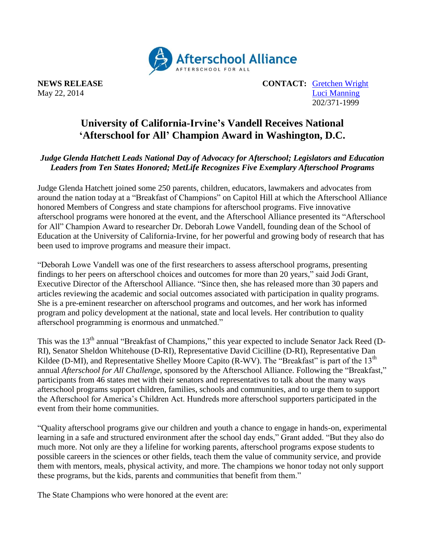

**NEWS RELEASE CONTACT:** [Gretchen Wright](mailto:gretchen@prsolutionsdc.com) May 22, 2014 [Luci Manning](mailto:luci@prsolutionsdc.com) 202/371-1999

## **University of California-Irvine's Vandell Receives National 'Afterschool for All' Champion Award in Washington, D.C.**

## *Judge Glenda Hatchett Leads National Day of Advocacy for Afterschool; Legislators and Education Leaders from Ten States Honored; MetLife Recognizes Five Exemplary Afterschool Programs*

Judge Glenda Hatchett joined some 250 parents, children, educators, lawmakers and advocates from around the nation today at a "Breakfast of Champions" on Capitol Hill at which the Afterschool Alliance honored Members of Congress and state champions for afterschool programs. Five innovative afterschool programs were honored at the event, and the Afterschool Alliance presented its "Afterschool for All" Champion Award to researcher Dr. Deborah Lowe Vandell, founding dean of the School of Education at the University of California-Irvine, for her powerful and growing body of research that has been used to improve programs and measure their impact.

"Deborah Lowe Vandell was one of the first researchers to assess afterschool programs, presenting findings to her peers on afterschool choices and outcomes for more than 20 years," said Jodi Grant, Executive Director of the Afterschool Alliance. "Since then, she has released more than 30 papers and articles reviewing the academic and social outcomes associated with participation in quality programs. She is a pre-eminent researcher on afterschool programs and outcomes, and her work has informed program and policy development at the national, state and local levels. Her contribution to quality afterschool programming is enormous and unmatched."

This was the 13<sup>th</sup> annual "Breakfast of Champions," this year expected to include Senator Jack Reed (D-RI), Senator Sheldon Whitehouse (D-RI), Representative David Cicilline (D-RI), Representative Dan Kildee (D-MI), and Representative Shelley Moore Capito (R-WV). The "Breakfast" is part of the  $13<sup>th</sup>$ annual *Afterschool for All Challenge*, sponsored by the Afterschool Alliance. Following the "Breakfast," participants from 46 states met with their senators and representatives to talk about the many ways afterschool programs support children, families, schools and communities, and to urge them to support the Afterschool for America's Children Act. Hundreds more afterschool supporters participated in the event from their home communities.

"Quality afterschool programs give our children and youth a chance to engage in hands-on, experimental learning in a safe and structured environment after the school day ends," Grant added. "But they also do much more. Not only are they a lifeline for working parents, afterschool programs expose students to possible careers in the sciences or other fields, teach them the value of community service, and provide them with mentors, meals, physical activity, and more. The champions we honor today not only support these programs, but the kids, parents and communities that benefit from them."

The State Champions who were honored at the event are: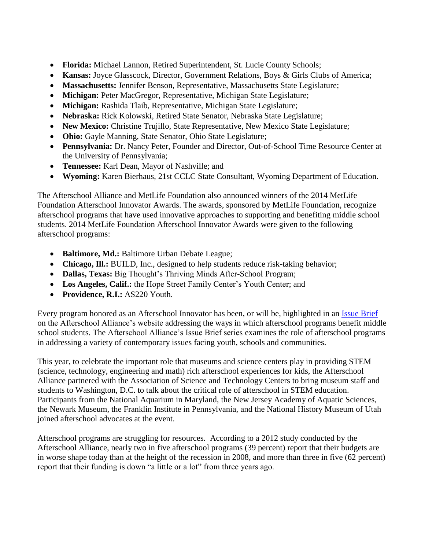- **Florida:** Michael Lannon, Retired Superintendent, St. Lucie County Schools;
- **Kansas:** Joyce Glasscock, Director, Government Relations, Boys & Girls Clubs of America;
- **Massachusetts:** Jennifer Benson, Representative, Massachusetts State Legislature;
- **Michigan:** Peter MacGregor, Representative, Michigan State Legislature;
- **Michigan:** Rashida Tlaib, Representative, Michigan State Legislature;
- **Nebraska:** Rick Kolowski, Retired State Senator, Nebraska State Legislature;
- **New Mexico:** Christine Trujillo, State Representative, New Mexico State Legislature;
- **Ohio:** Gayle Manning, State Senator, Ohio State Legislature;
- **Pennsylvania:** Dr. Nancy Peter, Founder and Director, Out-of-School Time Resource Center at the University of Pennsylvania;
- **Tennessee:** Karl Dean, Mayor of Nashville; and
- **Wyoming:** Karen Bierhaus, 21st CCLC State Consultant, Wyoming Department of Education.

The Afterschool Alliance and MetLife Foundation also announced winners of the 2014 MetLife Foundation Afterschool Innovator Awards. The awards, sponsored by MetLife Foundation, recognize afterschool programs that have used innovative approaches to supporting and benefiting middle school students. 2014 MetLife Foundation Afterschool Innovator Awards were given to the following afterschool programs:

- **Baltimore, Md.:** Baltimore Urban Debate League;
- Chicago, Ill.: BUILD, Inc., designed to help students reduce risk-taking behavior;
- **Dallas, Texas:** Big Thought's Thriving Minds After-School Program;
- **Los Angeles, Calif.:** the Hope Street Family Center's Youth Center; and
- **Providence, R.I.:** AS220 Youth.

Every program honored as an Afterschool Innovator has been, or will be, highlighted in an [Issue Brief](http://www.afterschoolalliance.org/researchIssueBriefs.cfm) on the Afterschool Alliance's website addressing the ways in which afterschool programs benefit middle school students. The Afterschool Alliance's Issue Brief series examines the role of afterschool programs in addressing a variety of contemporary issues facing youth, schools and communities.

This year, to celebrate the important role that museums and science centers play in providing STEM (science, technology, engineering and math) rich afterschool experiences for kids, the Afterschool Alliance partnered with the Association of Science and Technology Centers to bring museum staff and students to Washington, D.C. to talk about the critical role of afterschool in STEM education. Participants from the National Aquarium in Maryland, the New Jersey Academy of Aquatic Sciences, the Newark Museum, the Franklin Institute in Pennsylvania, and the National History Museum of Utah joined afterschool advocates at the event.

Afterschool programs are struggling for resources. According to a 2012 study conducted by the Afterschool Alliance, nearly two in five afterschool programs (39 percent) report that their budgets are in worse shape today than at the height of the recession in 2008, and more than three in five (62 percent) report that their funding is down "a little or a lot" from three years ago.